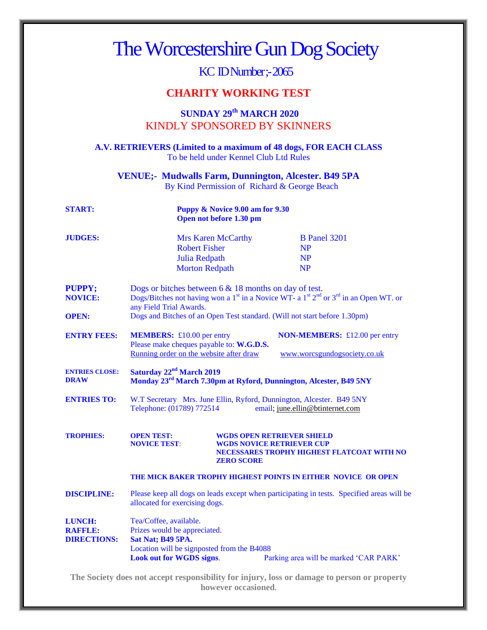| The Worcestershire Gun Dog Society                                                                                 |                                                                                                                                                                                                                                                                                                          |                                                       |                                                                                 |
|--------------------------------------------------------------------------------------------------------------------|----------------------------------------------------------------------------------------------------------------------------------------------------------------------------------------------------------------------------------------------------------------------------------------------------------|-------------------------------------------------------|---------------------------------------------------------------------------------|
| KC IDNumber; - 2065                                                                                                |                                                                                                                                                                                                                                                                                                          |                                                       |                                                                                 |
| <b>CHARITY WORKING TEST</b>                                                                                        |                                                                                                                                                                                                                                                                                                          |                                                       |                                                                                 |
| <b>SUNDAY 29th MARCH 2020</b><br><b>KINDLY SPONSORED BY SKINNERS</b>                                               |                                                                                                                                                                                                                                                                                                          |                                                       |                                                                                 |
| A.V. RETRIEVERS (Limited to a maximum of 48 dogs, FOR EACH CLASS)<br>To be held under Kennel Club Ltd Rules        |                                                                                                                                                                                                                                                                                                          |                                                       |                                                                                 |
| <b>VENUE</b> ; Mudwalls Farm, Dunnington, Alcester. B49 5PA<br>By Kind Permission of Richard & George Beach        |                                                                                                                                                                                                                                                                                                          |                                                       |                                                                                 |
| <b>START:</b>                                                                                                      | <b>Puppy &amp; Novice 9.00 am for 9.30</b><br>Open not before 1.30 pm                                                                                                                                                                                                                                    |                                                       |                                                                                 |
| <b>JUDGES:</b>                                                                                                     | <b>Robert Fisher</b><br>Julia Redpath<br><b>Morton Redpath</b>                                                                                                                                                                                                                                           | <b>Mrs Karen McCarthy</b>                             | <b>B</b> Panel 3201<br><b>NP</b><br><b>NP</b><br><b>NP</b>                      |
| <b>PUPPY;</b><br><b>NOVICE:</b><br><b>OPEN:</b>                                                                    | Dogs or bitches between $6 \& 18$ months on day of test.<br>Dogs/Bitches not having won a 1 <sup>st</sup> in a Novice WT- a 1 <sup>st</sup> 2 <sup>nd</sup> or 3 <sup>rd</sup> in an Open WT. or<br>any Field Trial Awards.<br>Dogs and Bitches of an Open Test standard. (Will not start before 1.30pm) |                                                       |                                                                                 |
| <b>ENTRY FEES:</b>                                                                                                 | <b>MEMBERS:</b> £10.00 per entry<br><b>NON-MEMBERS:</b> £12.00 per entry<br>Please make cheques payable to: W.G.D.S.<br>Running order on the website after draw<br>www.worcsgundogsociety.co.uk                                                                                                          |                                                       |                                                                                 |
| <b>ENTRIES CLOSE:</b><br><b>DRAW</b>                                                                               | Saturday 22 <sup>nd</sup> March 2019<br>Monday 23 <sup>rd</sup> March 7.30pm at Ryford, Dunnington, Alcester, B49 5NY                                                                                                                                                                                    |                                                       |                                                                                 |
| <b>ENTRIES TO:</b>                                                                                                 | W.T Secretary Mrs. June Ellin, Ryford, Dunnington, Alcester. B49 5NY<br>Telephone: (01789) 772514<br>email; june.ellin@btinternet.com                                                                                                                                                                    |                                                       |                                                                                 |
| <b>TROPHIES:</b>                                                                                                   | <b>OPEN TEST:</b><br><b>NOVICE TEST:</b>                                                                                                                                                                                                                                                                 | <b>WGDS NOVICE RETRIEVER CUP</b><br><b>ZERO SCORE</b> | <b>WGDS OPEN RETRIEVER SHIELD</b><br>NECESSARES TROPHY HIGHEST FLATCOAT WITH NO |
|                                                                                                                    | THE MICK BAKER TROPHY HIGHEST POINTS IN EITHER NOVICE OR OPEN                                                                                                                                                                                                                                            |                                                       |                                                                                 |
| <b>DISCIPLINE:</b>                                                                                                 | Please keep all dogs on leads except when participating in tests. Specified areas will be<br>allocated for exercising dogs.                                                                                                                                                                              |                                                       |                                                                                 |
| <b>LUNCH:</b><br><b>RAFFLE:</b><br><b>DIRECTIONS:</b>                                                              | Tea/Coffee, available.<br>Prizes would be appreciated.<br>Sat Nat; B49 5PA.<br>Location will be signposted from the B4088<br><b>Look out for WGDS signs.</b><br>Parking area will be marked 'CAR PARK'                                                                                                   |                                                       |                                                                                 |
| The Society does not accept responsibility for injury, loss or damage to person or property<br>however occasioned. |                                                                                                                                                                                                                                                                                                          |                                                       |                                                                                 |